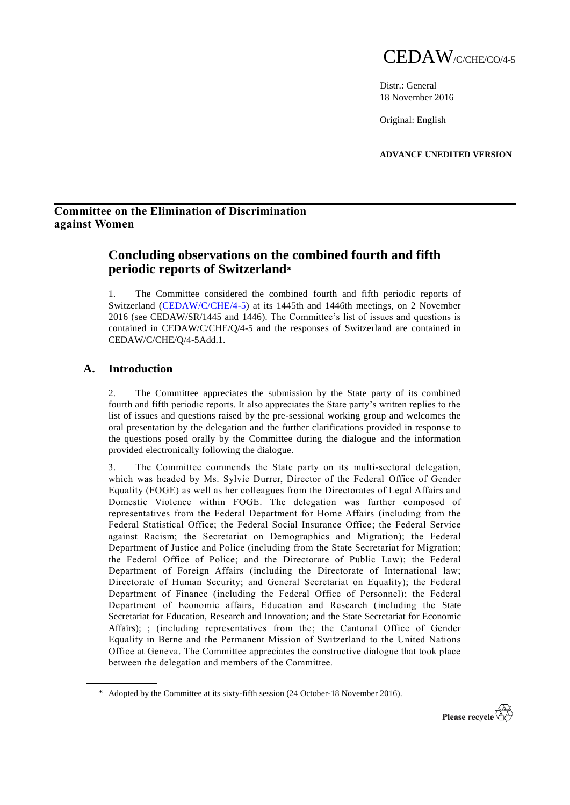Distr.: General 18 November 2016

Original: English

**ADVANCE UNEDITED VERSION**

## **Committee on the Elimination of Discrimination against Women**

# **Concluding observations on the combined fourth and fifth periodic reports of Switzerland\***

1. The Committee considered the combined fourth and fifth periodic reports of Switzerland [\(CEDAW/C/CHE/4-5\)](http://undocs.org/CEDAW/C/FRA/7) at its 1445th and 1446th meetings, on 2 November 2016 (see CEDAW/SR/1445 and 1446). The Committee's list of issues and questions is contained in CEDAW/C/CHE/Q/4-5 and the responses of Switzerland are contained in CEDAW/C/CHE/Q/4-5Add.1.

## **A. Introduction**

2. The Committee appreciates the submission by the State party of its combined fourth and fifth periodic reports. It also appreciates the State party's written replies to the list of issues and questions raised by the pre-sessional working group and welcomes the oral presentation by the delegation and the further clarifications provided in response to the questions posed orally by the Committee during the dialogue and the information provided electronically following the dialogue.

3. The Committee commends the State party on its multi-sectoral delegation, which was headed by Ms. Sylvie Durrer, Director of the Federal Office of Gender Equality (FOGE) as well as her colleagues from the Directorates of Legal Affairs and Domestic Violence within FOGE. The delegation was further composed of representatives from the Federal Department for Home Affairs (including from the Federal Statistical Office; the Federal Social Insurance Office; the Federal Service against Racism; the Secretariat on Demographics and Migration); the Federal Department of Justice and Police (including from the State Secretariat for Migration; the Federal Office of Police; and the Directorate of Public Law); the Federal Department of Foreign Affairs (including the Directorate of International law; Directorate of Human Security; and General Secretariat on Equality); the Federal Department of Finance (including the Federal Office of Personnel); the Federal Department of Economic affairs, Education and Research (including the State Secretariat for Education, Research and Innovation; and the State Secretariat for Economic Affairs); ; (including representatives from the; the Cantonal Office of Gender Equality in Berne and the Permanent Mission of Switzerland to the United Nations Office at Geneva. The Committee appreciates the constructive dialogue that took place between the delegation and members of the Committee.

<sup>\*</sup> Adopted by the Committee at its sixty-fifth session (24 October-18 November 2016).

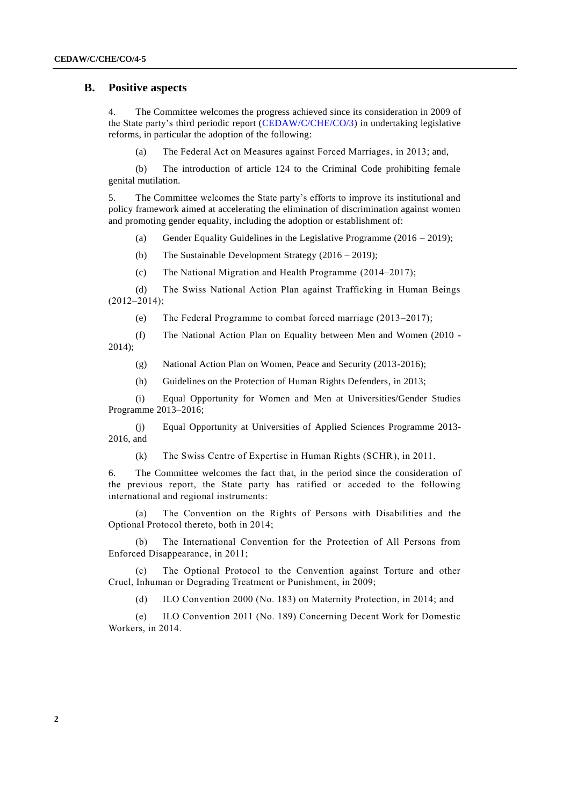## **B. Positive aspects**

4. The Committee welcomes the progress achieved since its consideration in 2009 of the State party's third periodic report [\(CEDAW/C/CHE/CO/3\)](http://undocs.org/CEDAW/C/FRA/6) in undertaking legislative reforms, in particular the adoption of the following:

(a) The Federal Act on Measures against Forced Marriages, in 2013; and,

(b) The introduction of article 124 to the Criminal Code prohibiting female genital mutilation.

5. The Committee welcomes the State party's efforts to improve its institutional and policy framework aimed at accelerating the elimination of discrimination against women and promoting gender equality, including the adoption or establishment of:

(a) Gender Equality Guidelines in the Legislative Programme  $(2016 - 2019)$ ;

(b) The Sustainable Development Strategy (2016 – 2019);

(c) The National Migration and Health Programme (2014–2017);

(d) The Swiss National Action Plan against Trafficking in Human Beings  $(2012-2014);$ 

(e) The Federal Programme to combat forced marriage (2013–2017);

(f) The National Action Plan on Equality between Men and Women (2010 - 2014);

(g) National Action Plan on Women, Peace and Security (2013-2016);

(h) Guidelines on the Protection of Human Rights Defenders, in 2013;

(i) Equal Opportunity for Women and Men at Universities/Gender Studies Programme 2013–2016;

(j) Equal Opportunity at Universities of Applied Sciences Programme 2013- 2016, and

(k) The Swiss Centre of Expertise in Human Rights (SCHR), in 2011.

6. The Committee welcomes the fact that, in the period since the consideration of the previous report, the State party has ratified or acceded to the following international and regional instruments:

(a) The Convention on the Rights of Persons with Disabilities and the Optional Protocol thereto, both in 2014;

(b) The International Convention for the Protection of All Persons from Enforced Disappearance, in 2011;

(c) The Optional Protocol to the Convention against Torture and other Cruel, Inhuman or Degrading Treatment or Punishment, in 2009;

(d) ILO Convention 2000 (No. 183) on Maternity Protection, in 2014; and

(e) ILO Convention 2011 (No. 189) Concerning Decent Work for Domestic Workers, in 2014.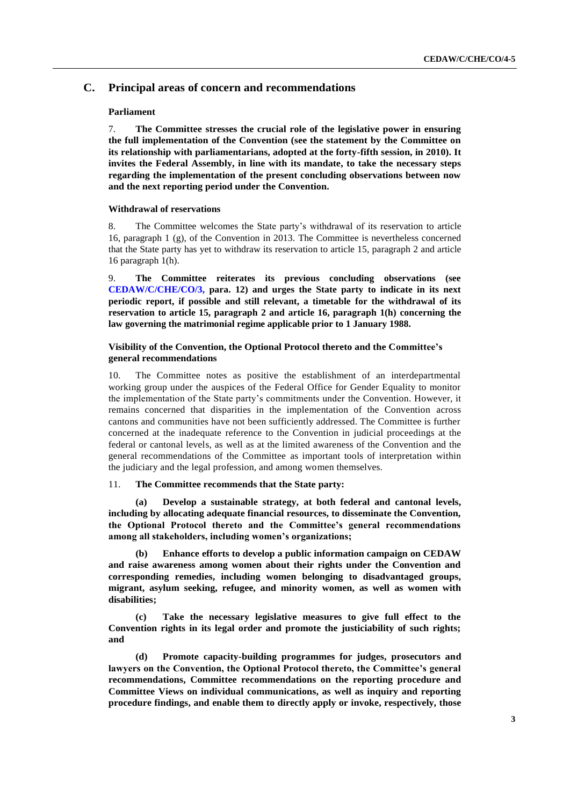## **C. Principal areas of concern and recommendations**

## **Parliament**

7. **The Committee stresses the crucial role of the legislative power in ensuring the full implementation of the Convention (see the statement by the Committee on its relationship with parliamentarians, adopted at the forty-fifth session, in 2010). It invites the Federal Assembly, in line with its mandate, to take the necessary steps regarding the implementation of the present concluding observations between now and the next reporting period under the Convention.**

#### **Withdrawal of reservations**

8. The Committee welcomes the State party's withdrawal of its reservation to article 16, paragraph 1 (g), of the Convention in 2013. The Committee is nevertheless concerned that the State party has yet to withdraw its reservation to article 15, paragraph 2 and article 16 paragraph 1(h).

9. **The Committee reiterates its previous concluding observations (see [CEDAW/C/CHE/CO/3,](http://undocs.org/CEDAW/C/FRA/6) para. 12) and urges the State party to indicate in its next periodic report, if possible and still relevant, a timetable for the withdrawal of its reservation to article 15, paragraph 2 and article 16, paragraph 1(h) concerning the law governing the matrimonial regime applicable prior to 1 January 1988.**

## **Visibility of the Convention, the Optional Protocol thereto and the Committee's general recommendations**

10. The Committee notes as positive the establishment of an interdepartmental working group under the auspices of the Federal Office for Gender Equality to monitor the implementation of the State party's commitments under the Convention. However, it remains concerned that disparities in the implementation of the Convention across cantons and communities have not been sufficiently addressed. The Committee is further concerned at the inadequate reference to the Convention in judicial proceedings at the federal or cantonal levels, as well as at the limited awareness of the Convention and the general recommendations of the Committee as important tools of interpretation within the judiciary and the legal profession, and among women themselves.

## 11. **The Committee recommends that the State party:**

**(a) Develop a sustainable strategy, at both federal and cantonal levels, including by allocating adequate financial resources, to disseminate the Convention, the Optional Protocol thereto and the Committee's general recommendations among all stakeholders, including women's organizations;** 

**(b) Enhance efforts to develop a public information campaign on CEDAW and raise awareness among women about their rights under the Convention and corresponding remedies, including women belonging to disadvantaged groups, migrant, asylum seeking, refugee, and minority women, as well as women with disabilities;**

**(c) Take the necessary legislative measures to give full effect to the Convention rights in its legal order and promote the justiciability of such rights; and**

**(d) Promote capacity-building programmes for judges, prosecutors and lawyers on the Convention, the Optional Protocol thereto, the Committee's general recommendations, Committee recommendations on the reporting procedure and Committee Views on individual communications, as well as inquiry and reporting procedure findings, and enable them to directly apply or invoke, respectively, those**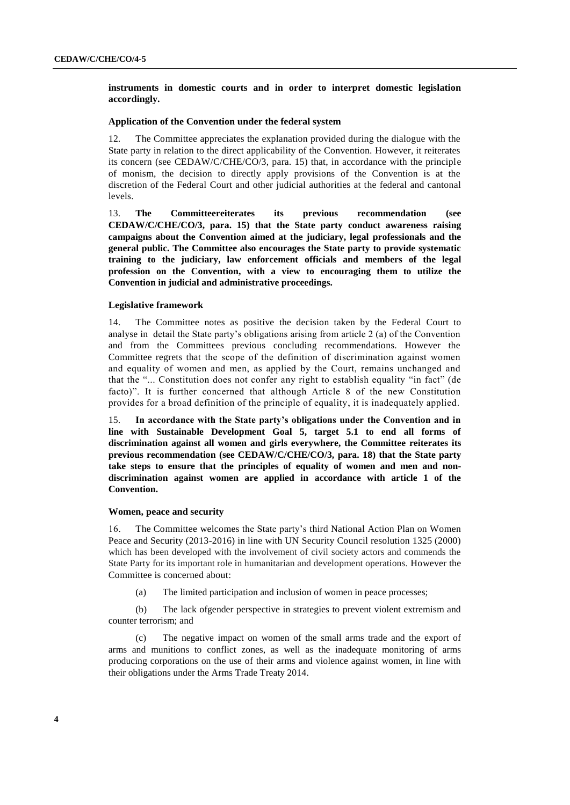## **instruments in domestic courts and in order to interpret domestic legislation accordingly.**

## **Application of the Convention under the federal system**

12. The Committee appreciates the explanation provided during the dialogue with the State party in relation to the direct applicability of the Convention. However, it reiterates its concern (see CEDAW/C/CHE/CO/3, para. 15) that, in accordance with the principle of monism, the decision to directly apply provisions of the Convention is at the discretion of the Federal Court and other judicial authorities at the federal and cantonal levels.

13. **The Committeereiterates its previous recommendation (see CEDAW/C/CHE/CO/3, para. 15) that the State party conduct awareness raising campaigns about the Convention aimed at the judiciary, legal professionals and the general public. The Committee also encourages the State party to provide systematic training to the judiciary, law enforcement officials and members of the legal profession on the Convention, with a view to encouraging them to utilize the Convention in judicial and administrative proceedings.** 

#### **Legislative framework**

14. The Committee notes as positive the decision taken by the Federal Court to analyse in detail the State party's obligations arising from article 2 (a) of the Convention and from the Committees previous concluding recommendations. However the Committee regrets that the scope of the definition of discrimination against women and equality of women and men, as applied by the Court, remains unchanged and that the "... Constitution does not confer any right to establish equality "in fact" (de facto)". It is further concerned that although Article 8 of the new Constitution provides for a broad definition of the principle of equality, it is inadequately applied.

15. **In accordance with the State party's obligations under the Convention and in line with Sustainable Development Goal 5, target 5.1 to end all forms of discrimination against all women and girls everywhere, the Committee reiterates its previous recommendation (see CEDAW/C/CHE/CO/3, para. 18) that the State party take steps to ensure that the principles of equality of women and men and nondiscrimination against women are applied in accordance with article 1 of the Convention.**

#### **Women, peace and security**

16. The Committee welcomes the State party's third National Action Plan on Women Peace and Security (2013-2016) in line with UN Security Council resolution 1325 (2000) which has been developed with the involvement of civil society actors and commends the State Party for its important role in humanitarian and development operations. However the Committee is concerned about:

(a) The limited participation and inclusion of women in peace processes;

(b) The lack ofgender perspective in strategies to prevent violent extremism and counter terrorism; and

(c) The negative impact on women of the small arms trade and the export of arms and munitions to conflict zones, as well as the inadequate monitoring of arms producing corporations on the use of their arms and violence against women, in line with their obligations under the Arms Trade Treaty 2014.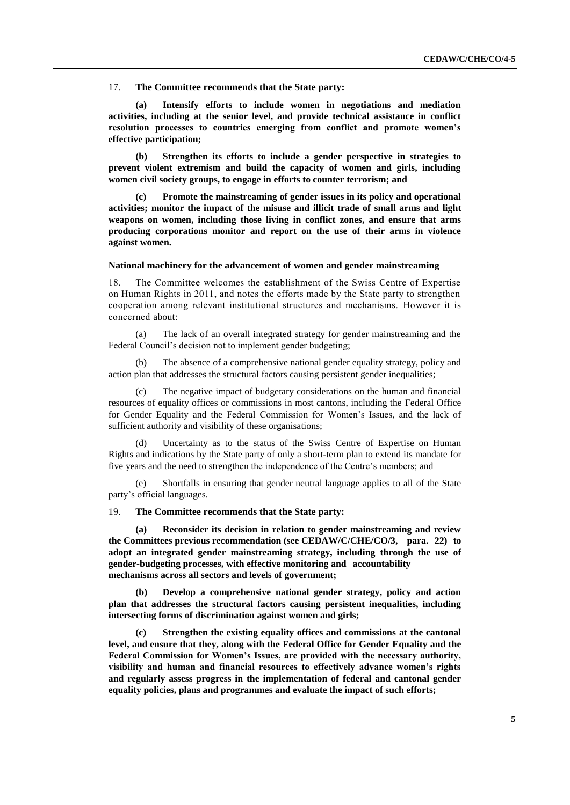17. **The Committee recommends that the State party:** 

**(a) Intensify efforts to include women in negotiations and mediation activities, including at the senior level, and provide technical assistance in conflict resolution processes to countries emerging from conflict and promote women's effective participation;**

**(b) Strengthen its efforts to include a gender perspective in strategies to prevent violent extremism and build the capacity of women and girls, including women civil society groups, to engage in efforts to counter terrorism; and**

**(c) Promote the mainstreaming of gender issues in its policy and operational activities; monitor the impact of the misuse and illicit trade of small arms and light weapons on women, including those living in conflict zones, and ensure that arms producing corporations monitor and report on the use of their arms in violence against women.**

#### **National machinery for the advancement of women and gender mainstreaming**

18. The Committee welcomes the establishment of the Swiss Centre of Expertise on Human Rights in 2011, and notes the efforts made by the State party to strengthen cooperation among relevant institutional structures and mechanisms. However it is concerned about:

(a) The lack of an overall integrated strategy for gender mainstreaming and the Federal Council's decision not to implement gender budgeting;

The absence of a comprehensive national gender equality strategy, policy and action plan that addresses the structural factors causing persistent gender inequalities;

(c) The negative impact of budgetary considerations on the human and financial resources of equality offices or commissions in most cantons, including the Federal Office for Gender Equality and the Federal Commission for Women's Issues, and the lack of sufficient authority and visibility of these organisations;

Uncertainty as to the status of the Swiss Centre of Expertise on Human Rights and indications by the State party of only a short-term plan to extend its mandate for five years and the need to strengthen the independence of the Centre's members; and

(e) Shortfalls in ensuring that gender neutral language applies to all of the State party's official languages.

19. **The Committee recommends that the State party:** 

**(a) Reconsider its decision in relation to gender mainstreaming and review the Committees previous recommendation (see CEDAW/C/CHE/CO/3, para. 22) to adopt an integrated gender mainstreaming strategy, including through the use of gender-budgeting processes, with effective monitoring and accountability mechanisms across all sectors and levels of government;**

**(b) Develop a comprehensive national gender strategy, policy and action plan that addresses the structural factors causing persistent inequalities, including intersecting forms of discrimination against women and girls;**

**(c) Strengthen the existing equality offices and commissions at the cantonal level, and ensure that they, along with the Federal Office for Gender Equality and the Federal Commission for Women's Issues, are provided with the necessary authority, visibility and human and financial resources to effectively advance women's rights and regularly assess progress in the implementation of federal and cantonal gender equality policies, plans and programmes and evaluate the impact of such efforts;**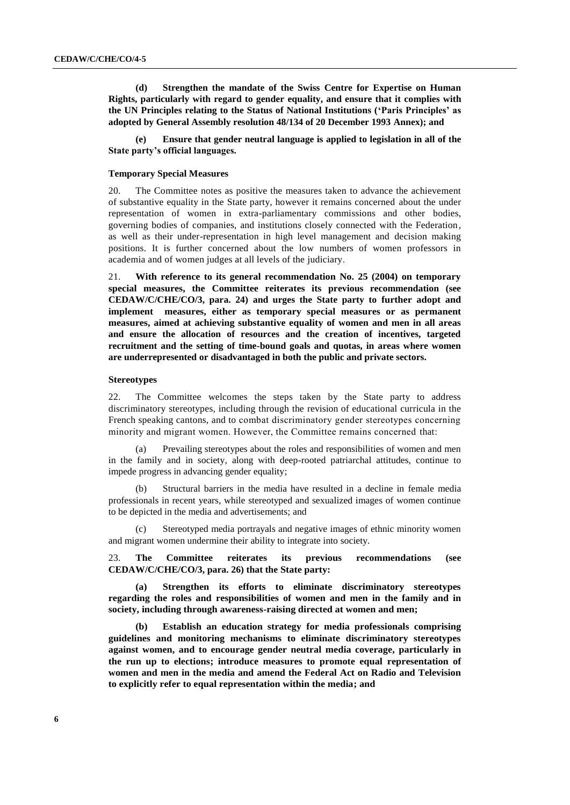**(d) Strengthen the mandate of the Swiss Centre for Expertise on Human Rights, particularly with regard to gender equality, and ensure that it complies with the UN Principles relating to the Status of National Institutions ('Paris Principles' as adopted by General Assembly resolution 48/134 of 20 December 1993 Annex); and**

**(e) Ensure that gender neutral language is applied to legislation in all of the State party's official languages.**

#### **Temporary Special Measures**

20. The Committee notes as positive the measures taken to advance the achievement of substantive equality in the State party, however it remains concerned about the under representation of women in extra-parliamentary commissions and other bodies, governing bodies of companies, and institutions closely connected with the Federation, as well as their under-representation in high level management and decision making positions. It is further concerned about the low numbers of women professors in academia and of women judges at all levels of the judiciary.

With reference to its general recommendation No. 25 (2004) on temporary **special measures, the Committee reiterates its previous recommendation (see CEDAW/C/CHE/CO/3, para. 24) and urges the State party to further adopt and implement measures, either as temporary special measures or as permanent measures, aimed at achieving substantive equality of women and men in all areas and ensure the allocation of resources and the creation of incentives, targeted recruitment and the setting of time-bound goals and quotas, in areas where women are underrepresented or disadvantaged in both the public and private sectors.**

#### **Stereotypes**

22. The Committee welcomes the steps taken by the State party to address discriminatory stereotypes, including through the revision of educational curricula in the French speaking cantons, and to combat discriminatory gender stereotypes concerning minority and migrant women. However, the Committee remains concerned that:

Prevailing stereotypes about the roles and responsibilities of women and men in the family and in society, along with deep-rooted patriarchal attitudes, continue to impede progress in advancing gender equality;

(b) Structural barriers in the media have resulted in a decline in female media professionals in recent years, while stereotyped and sexualized images of women continue to be depicted in the media and advertisements; and

(c) Stereotyped media portrayals and negative images of ethnic minority women and migrant women undermine their ability to integrate into society.

23. **The Committee reiterates its previous recommendations (see CEDAW/C/CHE/CO/3, para. 26) that the State party:**

**(a) Strengthen its efforts to eliminate discriminatory stereotypes regarding the roles and responsibilities of women and men in the family and in society, including through awareness-raising directed at women and men;**

**(b) Establish an education strategy for media professionals comprising guidelines and monitoring mechanisms to eliminate discriminatory stereotypes against women, and to encourage gender neutral media coverage, particularly in the run up to elections; introduce measures to promote equal representation of women and men in the media and amend the Federal Act on Radio and Television to explicitly refer to equal representation within the media; and**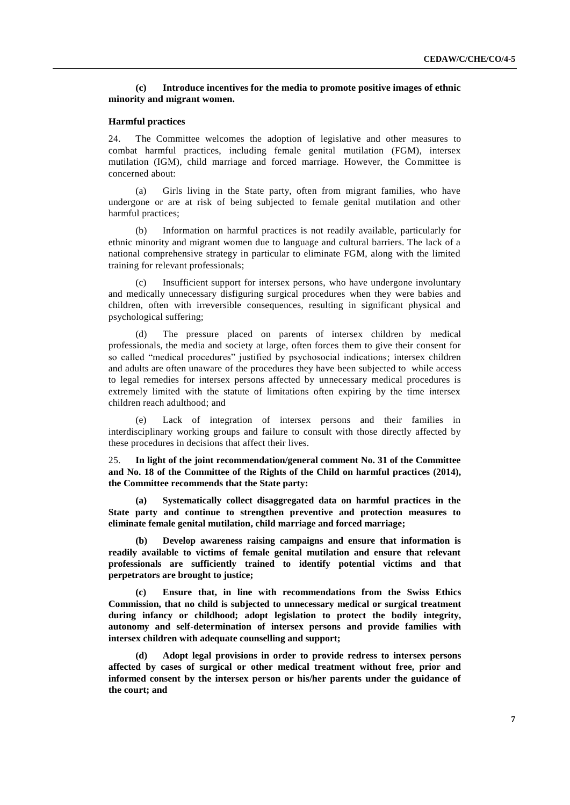## **(c) Introduce incentives for the media to promote positive images of ethnic minority and migrant women.**

## **Harmful practices**

24. The Committee welcomes the adoption of legislative and other measures to combat harmful practices, including female genital mutilation (FGM), intersex mutilation (IGM), child marriage and forced marriage. However, the Committee is concerned about:

(a) Girls living in the State party, often from migrant families, who have undergone or are at risk of being subjected to female genital mutilation and other harmful practices;

(b) Information on harmful practices is not readily available, particularly for ethnic minority and migrant women due to language and cultural barriers. The lack of a national comprehensive strategy in particular to eliminate FGM, along with the limited training for relevant professionals;

(c) Insufficient support for intersex persons, who have undergone involuntary and medically unnecessary disfiguring surgical procedures when they were babies and children, often with irreversible consequences, resulting in significant physical and psychological suffering;

(d) The pressure placed on parents of intersex children by medical professionals, the media and society at large, often forces them to give their consent for so called "medical procedures" justified by psychosocial indications; intersex children and adults are often unaware of the procedures they have been subjected to while access to legal remedies for intersex persons affected by unnecessary medical procedures is extremely limited with the statute of limitations often expiring by the time intersex children reach adulthood; and

(e) Lack of integration of intersex persons and their families in interdisciplinary working groups and failure to consult with those directly affected by these procedures in decisions that affect their lives.

25. **In light of the joint recommendation/general comment No. 31 of the Committee and No. 18 of the Committee of the Rights of the Child on harmful practices (2014), the Committee recommends that the State party:**

**(a) Systematically collect disaggregated data on harmful practices in the State party and continue to strengthen preventive and protection measures to eliminate female genital mutilation, child marriage and forced marriage;**

**(b) Develop awareness raising campaigns and ensure that information is readily available to victims of female genital mutilation and ensure that relevant professionals are sufficiently trained to identify potential victims and that perpetrators are brought to justice;**

**(c) Ensure that, in line with recommendations from the Swiss Ethics Commission, that no child is subjected to unnecessary medical or surgical treatment during infancy or childhood; adopt legislation to protect the bodily integrity, autonomy and self-determination of intersex persons and provide families with intersex children with adequate counselling and support;**

**(d) Adopt legal provisions in order to provide redress to intersex persons affected by cases of surgical or other medical treatment without free, prior and informed consent by the intersex person or his/her parents under the guidance of the court; and**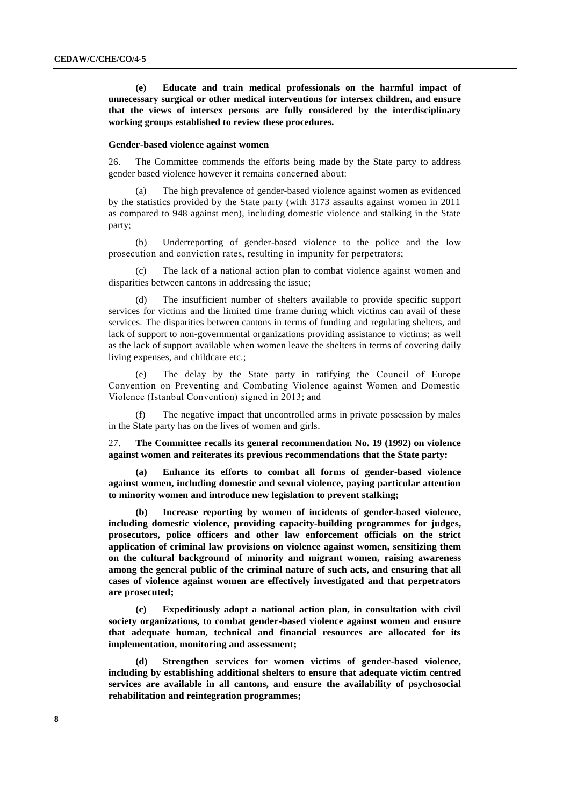**(e) Educate and train medical professionals on the harmful impact of unnecessary surgical or other medical interventions for intersex children, and ensure that the views of intersex persons are fully considered by the interdisciplinary working groups established to review these procedures.**

#### **Gender-based violence against women**

26. The Committee commends the efforts being made by the State party to address gender based violence however it remains concerned about:

The high prevalence of gender-based violence against women as evidenced by the statistics provided by the State party (with 3173 assaults against women in 2011 as compared to 948 against men), including domestic violence and stalking in the State party;

(b) Underreporting of gender-based violence to the police and the low prosecution and conviction rates, resulting in impunity for perpetrators;

The lack of a national action plan to combat violence against women and disparities between cantons in addressing the issue;

(d) The insufficient number of shelters available to provide specific support services for victims and the limited time frame during which victims can avail of these services. The disparities between cantons in terms of funding and regulating shelters, and lack of support to non-governmental organizations providing assistance to victims; as well as the lack of support available when women leave the shelters in terms of covering daily living expenses, and childcare etc.;

(e) The delay by the State party in ratifying the Council of Europe Convention on Preventing and Combating Violence against Women and Domestic Violence (Istanbul Convention) signed in 2013; and

(f) The negative impact that uncontrolled arms in private possession by males in the State party has on the lives of women and girls.

27. **The Committee recalls its general recommendation No. 19 (1992) on violence against women and reiterates its previous recommendations that the State party:**

**(a) Enhance its efforts to combat all forms of gender-based violence against women, including domestic and sexual violence, paying particular attention to minority women and introduce new legislation to prevent stalking;**

**(b) Increase reporting by women of incidents of gender-based violence, including domestic violence, providing capacity-building programmes for judges, prosecutors, police officers and other law enforcement officials on the strict application of criminal law provisions on violence against women, sensitizing them on the cultural background of minority and migrant women, raising awareness among the general public of the criminal nature of such acts, and ensuring that all cases of violence against women are effectively investigated and that perpetrators are prosecuted;** 

**(c) Expeditiously adopt a national action plan, in consultation with civil society organizations, to combat gender-based violence against women and ensure that adequate human, technical and financial resources are allocated for its implementation, monitoring and assessment;**

**(d) Strengthen services for women victims of gender-based violence, including by establishing additional shelters to ensure that adequate victim centred services are available in all cantons, and ensure the availability of psychosocial rehabilitation and reintegration programmes;**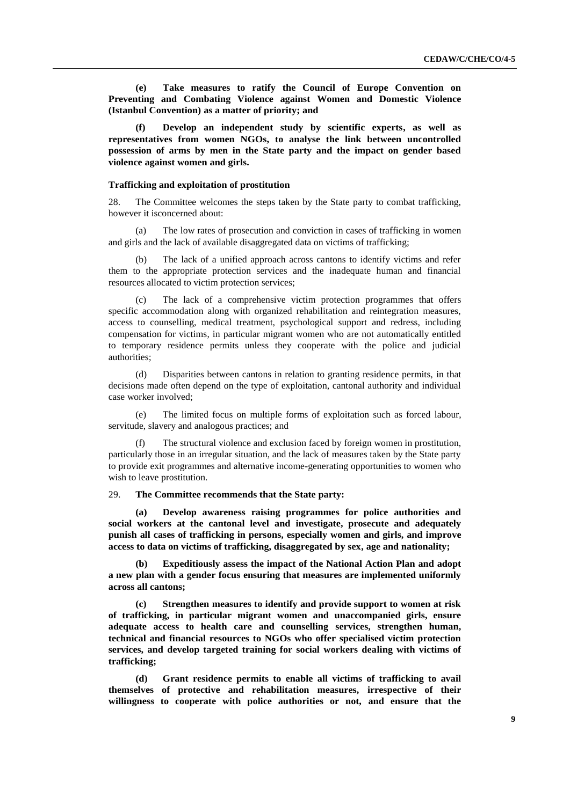**(e) Take measures to ratify the Council of Europe Convention on Preventing and Combating Violence against Women and Domestic Violence (Istanbul Convention) as a matter of priority; and**

**(f) Develop an independent study by scientific experts, as well as representatives from women NGOs, to analyse the link between uncontrolled possession of arms by men in the State party and the impact on gender based violence against women and girls.**

#### **Trafficking and exploitation of prostitution**

28. The Committee welcomes the steps taken by the State party to combat trafficking, however it isconcerned about:

The low rates of prosecution and conviction in cases of trafficking in women and girls and the lack of available disaggregated data on victims of trafficking;

(b) The lack of a unified approach across cantons to identify victims and refer them to the appropriate protection services and the inadequate human and financial resources allocated to victim protection services;

The lack of a comprehensive victim protection programmes that offers specific accommodation along with organized rehabilitation and reintegration measures, access to counselling, medical treatment, psychological support and redress, including compensation for victims, in particular migrant women who are not automatically entitled to temporary residence permits unless they cooperate with the police and judicial authorities;

(d) Disparities between cantons in relation to granting residence permits, in that decisions made often depend on the type of exploitation, cantonal authority and individual case worker involved;

(e) The limited focus on multiple forms of exploitation such as forced labour, servitude, slavery and analogous practices; and

The structural violence and exclusion faced by foreign women in prostitution, particularly those in an irregular situation, and the lack of measures taken by the State party to provide exit programmes and alternative income-generating opportunities to women who wish to leave prostitution.

#### 29. **The Committee recommends that the State party:**

**(a) Develop awareness raising programmes for police authorities and social workers at the cantonal level and investigate, prosecute and adequately punish all cases of trafficking in persons, especially women and girls, and improve access to data on victims of trafficking, disaggregated by sex, age and nationality;**

**(b) Expeditiously assess the impact of the National Action Plan and adopt a new plan with a gender focus ensuring that measures are implemented uniformly across all cantons;**

**(c) Strengthen measures to identify and provide support to women at risk of trafficking, in particular migrant women and unaccompanied girls, ensure adequate access to health care and counselling services, strengthen human, technical and financial resources to NGOs who offer specialised victim protection services, and develop targeted training for social workers dealing with victims of trafficking;**

**(d) Grant residence permits to enable all victims of trafficking to avail themselves of protective and rehabilitation measures, irrespective of their willingness to cooperate with police authorities or not, and ensure that the**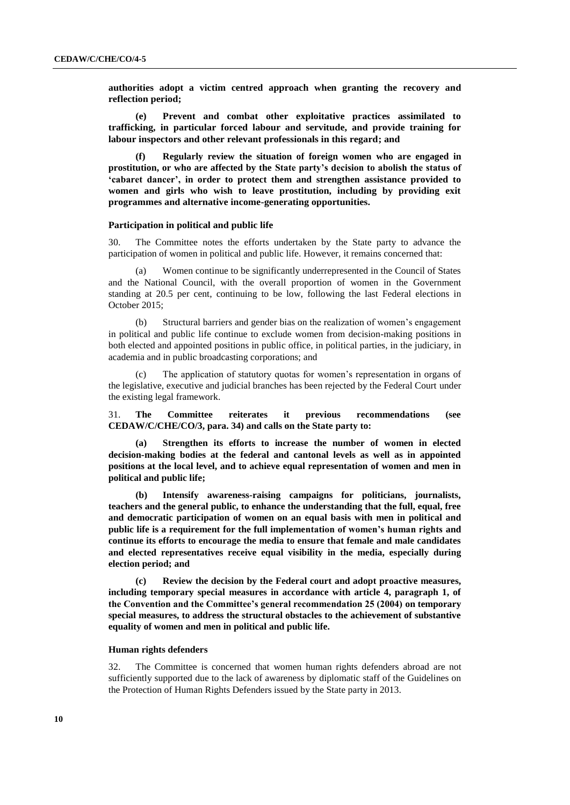**authorities adopt a victim centred approach when granting the recovery and reflection period;**

**(e) Prevent and combat other exploitative practices assimilated to trafficking, in particular forced labour and servitude, and provide training for labour inspectors and other relevant professionals in this regard; and**

**(f) Regularly review the situation of foreign women who are engaged in prostitution, or who are affected by the State party's decision to abolish the status of 'cabaret dancer', in order to protect them and strengthen assistance provided to women and girls who wish to leave prostitution, including by providing exit programmes and alternative income-generating opportunities.**

## **Participation in political and public life**

30. The Committee notes the efforts undertaken by the State party to advance the participation of women in political and public life. However, it remains concerned that:

Women continue to be significantly underrepresented in the Council of States and the National Council, with the overall proportion of women in the Government standing at 20.5 per cent, continuing to be low, following the last Federal elections in October 2015;

(b) Structural barriers and gender bias on the realization of women's engagement in political and public life continue to exclude women from decision-making positions in both elected and appointed positions in public office, in political parties, in the judiciary, in academia and in public broadcasting corporations; and

The application of statutory quotas for women's representation in organs of the legislative, executive and judicial branches has been rejected by the Federal Court under the existing legal framework.

31. **The Committee reiterates it previous recommendations (see CEDAW/C/CHE/CO/3, para. 34) and calls on the State party to:**

**(a) Strengthen its efforts to increase the number of women in elected decision-making bodies at the federal and cantonal levels as well as in appointed positions at the local level, and to achieve equal representation of women and men in political and public life;**

**(b) Intensify awareness-raising campaigns for politicians, journalists, teachers and the general public, to enhance the understanding that the full, equal, free and democratic participation of women on an equal basis with men in political and public life is a requirement for the full implementation of women's human rights and continue its efforts to encourage the media to ensure that female and male candidates and elected representatives receive equal visibility in the media, especially during election period; and**

**(c) Review the decision by the Federal court and adopt proactive measures, including temporary special measures in accordance with article 4, paragraph 1, of the Convention and the Committee's general recommendation 25 (2004) on temporary special measures, to address the structural obstacles to the achievement of substantive equality of women and men in political and public life.**

## **Human rights defenders**

32. The Committee is concerned that women human rights defenders abroad are not sufficiently supported due to the lack of awareness by diplomatic staff of the Guidelines on the Protection of Human Rights Defenders issued by the State party in 2013.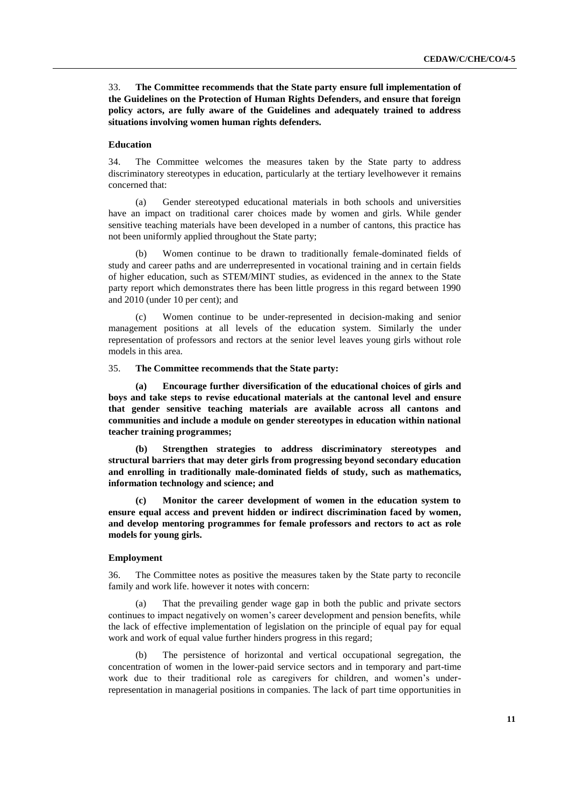33. **The Committee recommends that the State party ensure full implementation of the Guidelines on the Protection of Human Rights Defenders, and ensure that foreign policy actors, are fully aware of the Guidelines and adequately trained to address situations involving women human rights defenders.** 

### **Education**

34. The Committee welcomes the measures taken by the State party to address discriminatory stereotypes in education, particularly at the tertiary levelhowever it remains concerned that:

(a) Gender stereotyped educational materials in both schools and universities have an impact on traditional carer choices made by women and girls. While gender sensitive teaching materials have been developed in a number of cantons, this practice has not been uniformly applied throughout the State party;

(b) Women continue to be drawn to traditionally female-dominated fields of study and career paths and are underrepresented in vocational training and in certain fields of higher education, such as STEM/MINT studies, as evidenced in the annex to the State party report which demonstrates there has been little progress in this regard between 1990 and 2010 (under 10 per cent); and

(c) Women continue to be under-represented in decision-making and senior management positions at all levels of the education system. Similarly the under representation of professors and rectors at the senior level leaves young girls without role models in this area.

### 35. **The Committee recommends that the State party:**

**(a) Encourage further diversification of the educational choices of girls and boys and take steps to revise educational materials at the cantonal level and ensure that gender sensitive teaching materials are available across all cantons and communities and include a module on gender stereotypes in education within national teacher training programmes;**

**(b) Strengthen strategies to address discriminatory stereotypes and structural barriers that may deter girls from progressing beyond secondary education and enrolling in traditionally male-dominated fields of study, such as mathematics, information technology and science; and**

**(c) Monitor the career development of women in the education system to ensure equal access and prevent hidden or indirect discrimination faced by women, and develop mentoring programmes for female professors and rectors to act as role models for young girls.**

## **Employment**

36. The Committee notes as positive the measures taken by the State party to reconcile family and work life. however it notes with concern:

(a) That the prevailing gender wage gap in both the public and private sectors continues to impact negatively on women's career development and pension benefits, while the lack of effective implementation of legislation on the principle of equal pay for equal work and work of equal value further hinders progress in this regard;

(b) The persistence of horizontal and vertical occupational segregation, the concentration of women in the lower-paid service sectors and in temporary and part-time work due to their traditional role as caregivers for children, and women's underrepresentation in managerial positions in companies. The lack of part time opportunities in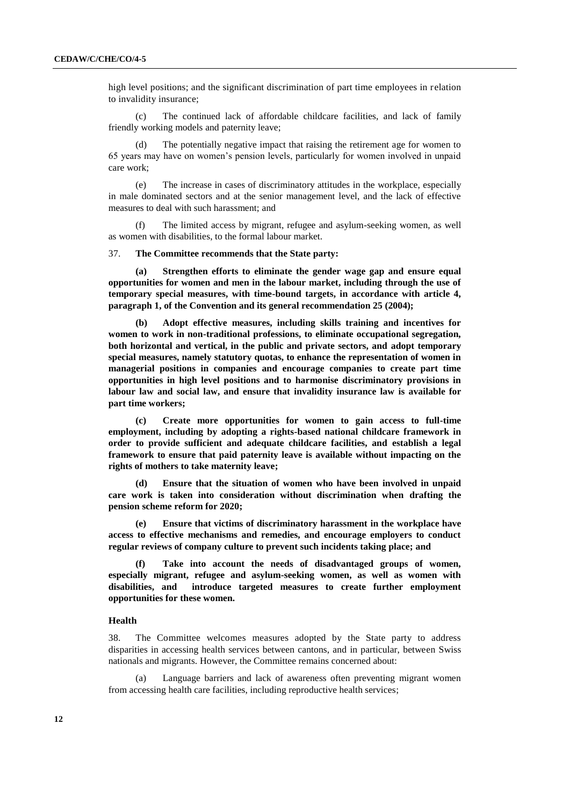high level positions; and the significant discrimination of part time employees in relation to invalidity insurance;

(c) The continued lack of affordable childcare facilities, and lack of family friendly working models and paternity leave;

The potentially negative impact that raising the retirement age for women to 65 years may have on women's pension levels, particularly for women involved in unpaid care work;

(e) The increase in cases of discriminatory attitudes in the workplace, especially in male dominated sectors and at the senior management level, and the lack of effective measures to deal with such harassment; and

(f) The limited access by migrant, refugee and asylum-seeking women, as well as women with disabilities, to the formal labour market.

## 37. **The Committee recommends that the State party:**

**(a) Strengthen efforts to eliminate the gender wage gap and ensure equal opportunities for women and men in the labour market, including through the use of temporary special measures, with time-bound targets, in accordance with article 4, paragraph 1, of the Convention and its general recommendation 25 (2004);** 

**(b) Adopt effective measures, including skills training and incentives for women to work in non-traditional professions, to eliminate occupational segregation, both horizontal and vertical, in the public and private sectors, and adopt temporary special measures, namely statutory quotas, to enhance the representation of women in managerial positions in companies and encourage companies to create part time opportunities in high level positions and to harmonise discriminatory provisions in labour law and social law, and ensure that invalidity insurance law is available for part time workers;**

**(c) Create more opportunities for women to gain access to full-time employment, including by adopting a rights-based national childcare framework in order to provide sufficient and adequate childcare facilities, and establish a legal framework to ensure that paid paternity leave is available without impacting on the rights of mothers to take maternity leave;** 

**(d) Ensure that the situation of women who have been involved in unpaid care work is taken into consideration without discrimination when drafting the pension scheme reform for 2020;**

**(e) Ensure that victims of discriminatory harassment in the workplace have access to effective mechanisms and remedies, and encourage employers to conduct regular reviews of company culture to prevent such incidents taking place; and**

**(f) Take into account the needs of disadvantaged groups of women, especially migrant, refugee and asylum-seeking women, as well as women with disabilities, and introduce targeted measures to create further employment opportunities for these women.**

## **Health**

38. The Committee welcomes measures adopted by the State party to address disparities in accessing health services between cantons, and in particular, between Swiss nationals and migrants. However, the Committee remains concerned about:

Language barriers and lack of awareness often preventing migrant women from accessing health care facilities, including reproductive health services;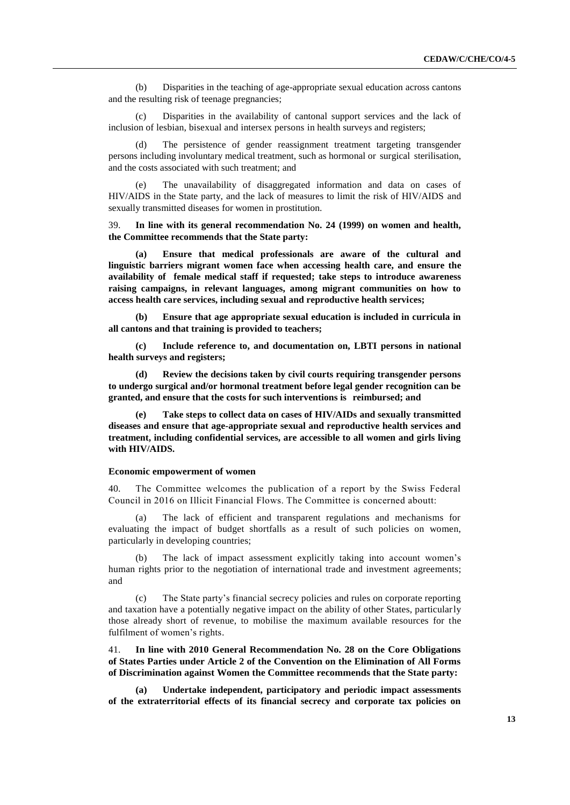(b) Disparities in the teaching of age-appropriate sexual education across cantons and the resulting risk of teenage pregnancies;

(c) Disparities in the availability of cantonal support services and the lack of inclusion of lesbian, bisexual and intersex persons in health surveys and registers;

The persistence of gender reassignment treatment targeting transgender persons including involuntary medical treatment, such as hormonal or surgical sterilisation, and the costs associated with such treatment; and

The unavailability of disaggregated information and data on cases of HIV/AIDS in the State party, and the lack of measures to limit the risk of HIV/AIDS and sexually transmitted diseases for women in prostitution.

39. **In line with its general recommendation No. 24 (1999) on women and health, the Committee recommends that the State party:**

**(a) Ensure that medical professionals are aware of the cultural and linguistic barriers migrant women face when accessing health care, and ensure the availability of female medical staff if requested; take steps to introduce awareness raising campaigns, in relevant languages, among migrant communities on how to access health care services, including sexual and reproductive health services;** 

**(b) Ensure that age appropriate sexual education is included in curricula in all cantons and that training is provided to teachers;** 

**(c) Include reference to, and documentation on, LBTI persons in national health surveys and registers;**

**(d) Review the decisions taken by civil courts requiring transgender persons to undergo surgical and/or hormonal treatment before legal gender recognition can be granted, and ensure that the costs for such interventions is reimbursed; and**

**(e) Take steps to collect data on cases of HIV/AIDs and sexually transmitted diseases and ensure that age-appropriate sexual and reproductive health services and treatment, including confidential services, are accessible to all women and girls living with HIV/AIDS.**

## **Economic empowerment of women**

40. The Committee welcomes the publication of a report by the Swiss Federal Council in 2016 on Illicit Financial Flows. The Committee is concerned aboutt:

(a) The lack of efficient and transparent regulations and mechanisms for evaluating the impact of budget shortfalls as a result of such policies on women, particularly in developing countries;

(b) The lack of impact assessment explicitly taking into account women's human rights prior to the negotiation of international trade and investment agreements; and

The State party's financial secrecy policies and rules on corporate reporting and taxation have a potentially negative impact on the ability of other States, particularly those already short of revenue, to mobilise the maximum available resources for the fulfilment of women's rights.

41. **In line with 2010 General Recommendation No. 28 on the Core Obligations of States Parties under Article 2 of the Convention on the Elimination of All Forms of Discrimination against Women the Committee recommends that the State party:**

**(a) Undertake independent, participatory and periodic impact assessments of the extraterritorial effects of its financial secrecy and corporate tax policies on**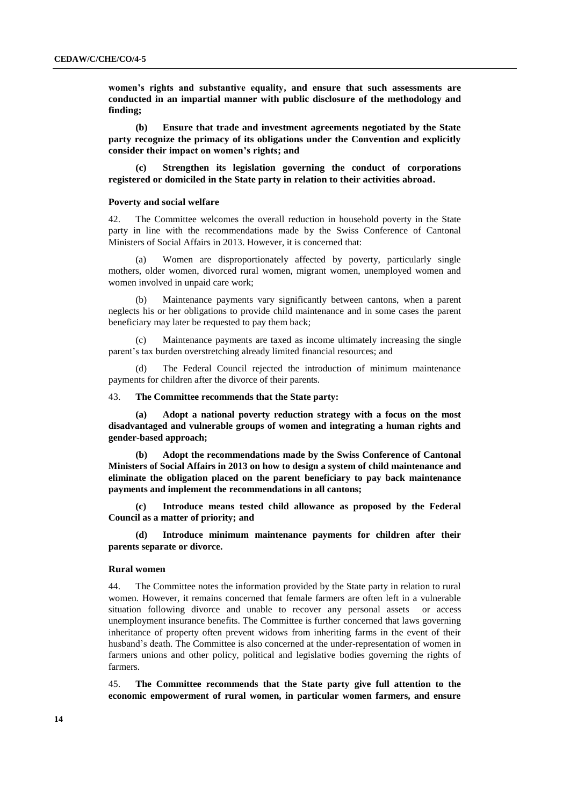**women's rights and substantive equality, and ensure that such assessments are conducted in an impartial manner with public disclosure of the methodology and finding;**

**(b) Ensure that trade and investment agreements negotiated by the State party recognize the primacy of its obligations under the Convention and explicitly consider their impact on women's rights; and**

**(c) Strengthen its legislation governing the conduct of corporations registered or domiciled in the State party in relation to their activities abroad.**

#### **Poverty and social welfare**

42. The Committee welcomes the overall reduction in household poverty in the State party in line with the recommendations made by the Swiss Conference of Cantonal Ministers of Social Affairs in 2013. However, it is concerned that:

(a) Women are disproportionately affected by poverty, particularly single mothers, older women, divorced rural women, migrant women, unemployed women and women involved in unpaid care work;

(b) Maintenance payments vary significantly between cantons, when a parent neglects his or her obligations to provide child maintenance and in some cases the parent beneficiary may later be requested to pay them back;

(c) Maintenance payments are taxed as income ultimately increasing the single parent's tax burden overstretching already limited financial resources; and

(d) The Federal Council rejected the introduction of minimum maintenance payments for children after the divorce of their parents.

### 43. **The Committee recommends that the State party:**

**(a) Adopt a national poverty reduction strategy with a focus on the most disadvantaged and vulnerable groups of women and integrating a human rights and gender-based approach;**

**(b) Adopt the recommendations made by the Swiss Conference of Cantonal Ministers of Social Affairs in 2013 on how to design a system of child maintenance and eliminate the obligation placed on the parent beneficiary to pay back maintenance payments and implement the recommendations in all cantons;**

**(c) Introduce means tested child allowance as proposed by the Federal Council as a matter of priority; and**

**(d) Introduce minimum maintenance payments for children after their parents separate or divorce.**

## **Rural women**

44. The Committee notes the information provided by the State party in relation to rural women. However, it remains concerned that female farmers are often left in a vulnerable situation following divorce and unable to recover any personal assets or access unemployment insurance benefits. The Committee is further concerned that laws governing inheritance of property often prevent widows from inheriting farms in the event of their husband's death. The Committee is also concerned at the under-representation of women in farmers unions and other policy, political and legislative bodies governing the rights of farmers.

45. **The Committee recommends that the State party give full attention to the economic empowerment of rural women, in particular women farmers, and ensure**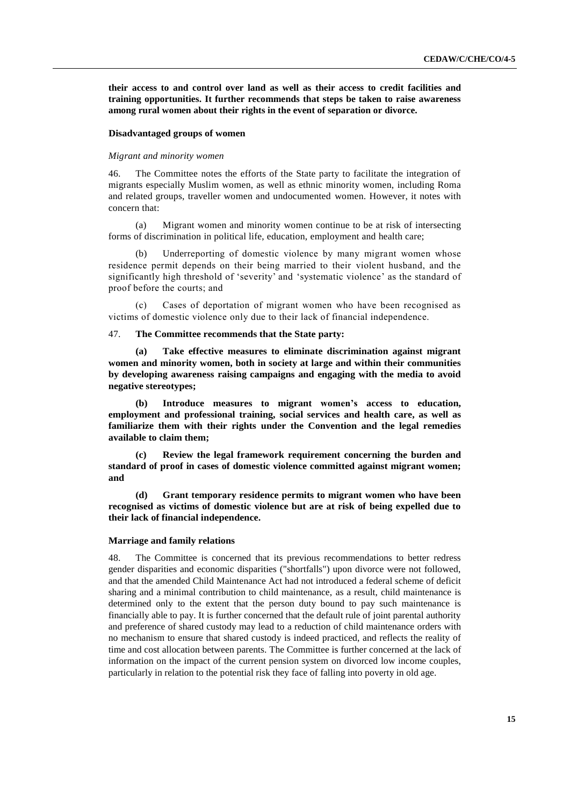**their access to and control over land as well as their access to credit facilities and training opportunities. It further recommends that steps be taken to raise awareness among rural women about their rights in the event of separation or divorce.** 

### **Disadvantaged groups of women**

## *Migrant and minority women*

46. The Committee notes the efforts of the State party to facilitate the integration of migrants especially Muslim women, as well as ethnic minority women, including Roma and related groups, traveller women and undocumented women. However, it notes with concern that:

(a) Migrant women and minority women continue to be at risk of intersecting forms of discrimination in political life, education, employment and health care;

Underreporting of domestic violence by many migrant women whose residence permit depends on their being married to their violent husband, and the significantly high threshold of 'severity' and 'systematic violence' as the standard of proof before the courts; and

(c) Cases of deportation of migrant women who have been recognised as victims of domestic violence only due to their lack of financial independence.

#### 47. **The Committee recommends that the State party:**

**(a) Take effective measures to eliminate discrimination against migrant women and minority women, both in society at large and within their communities by developing awareness raising campaigns and engaging with the media to avoid negative stereotypes;**

**(b) Introduce measures to migrant women's access to education, employment and professional training, social services and health care, as well as familiarize them with their rights under the Convention and the legal remedies available to claim them;**

**(c) Review the legal framework requirement concerning the burden and standard of proof in cases of domestic violence committed against migrant women; and**

**(d) Grant temporary residence permits to migrant women who have been recognised as victims of domestic violence but are at risk of being expelled due to their lack of financial independence.**

#### **Marriage and family relations**

48. The Committee is concerned that its previous recommendations to better redress gender disparities and economic disparities ("shortfalls") upon divorce were not followed, and that the amended Child Maintenance Act had not introduced a federal scheme of deficit sharing and a minimal contribution to child maintenance, as a result, child maintenance is determined only to the extent that the person duty bound to pay such maintenance is financially able to pay. It is further concerned that the default rule of joint parental authority and preference of shared custody may lead to a reduction of child maintenance orders with no mechanism to ensure that shared custody is indeed practiced, and reflects the reality of time and cost allocation between parents. The Committee is further concerned at the lack of information on the impact of the current pension system on divorced low income couples, particularly in relation to the potential risk they face of falling into poverty in old age.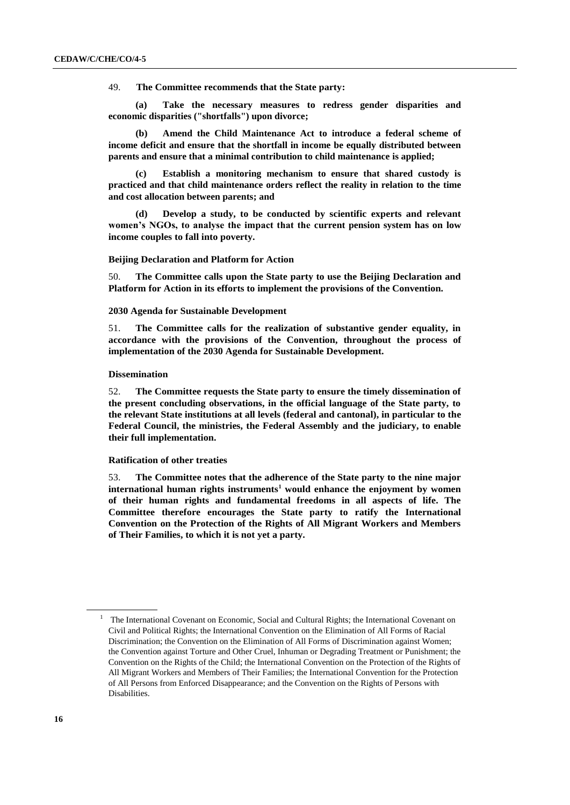49. **The Committee recommends that the State party:**

**(a) Take the necessary measures to redress gender disparities and economic disparities ("shortfalls") upon divorce;**

**(b) Amend the Child Maintenance Act to introduce a federal scheme of income deficit and ensure that the shortfall in income be equally distributed between parents and ensure that a minimal contribution to child maintenance is applied;**

**(c) Establish a monitoring mechanism to ensure that shared custody is practiced and that child maintenance orders reflect the reality in relation to the time and cost allocation between parents; and**

**(d) Develop a study, to be conducted by scientific experts and relevant women's NGOs, to analyse the impact that the current pension system has on low income couples to fall into poverty.**

#### **Beijing Declaration and Platform for Action**

50. **The Committee calls upon the State party to use the Beijing Declaration and Platform for Action in its efforts to implement the provisions of the Convention.**

#### **2030 Agenda for Sustainable Development**

51. **The Committee calls for the realization of substantive gender equality, in accordance with the provisions of the Convention, throughout the process of implementation of the 2030 Agenda for Sustainable Development.**

## **Dissemination**

52. **The Committee requests the State party to ensure the timely dissemination of the present concluding observations, in the official language of the State party, to the relevant State institutions at all levels (federal and cantonal), in particular to the Federal Council, the ministries, the Federal Assembly and the judiciary, to enable their full implementation.**

## **Ratification of other treaties**

53. **The Committee notes that the adherence of the State party to the nine major international human rights instruments<sup>1</sup> would enhance the enjoyment by women of their human rights and fundamental freedoms in all aspects of life. The Committee therefore encourages the State party to ratify the International Convention on the Protection of the Rights of All Migrant Workers and Members of Their Families, to which it is not yet a party.**

 $1$  The International Covenant on Economic, Social and Cultural Rights; the International Covenant on Civil and Political Rights; the International Convention on the Elimination of All Forms of Racial Discrimination; the Convention on the Elimination of All Forms of Discrimination against Women; the Convention against Torture and Other Cruel, Inhuman or Degrading Treatment or Punishment; the Convention on the Rights of the Child; the International Convention on the Protection of the Rights of All Migrant Workers and Members of Their Families; the International Convention for the Protection of All Persons from Enforced Disappearance; and the Convention on the Rights of Persons with Disabilities.